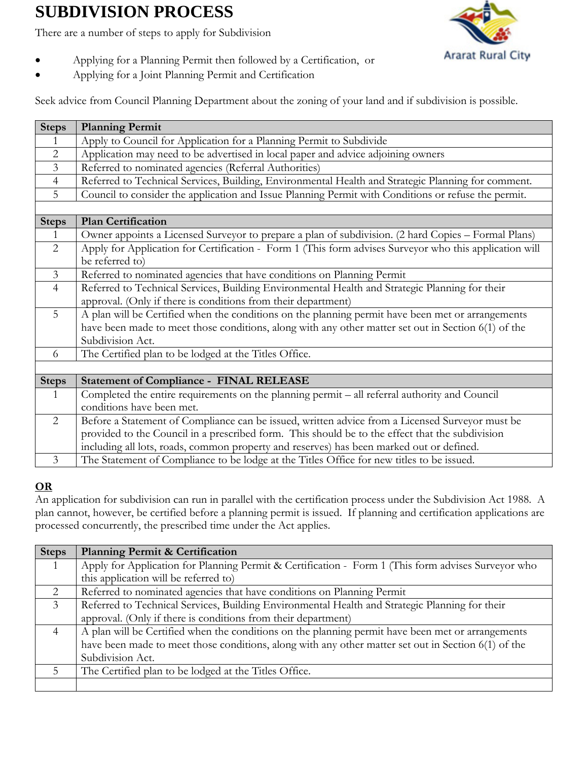## **SUBDIVISION PROCESS**

There are a number of steps to apply for Subdivision

- Applying for a Planning Permit then followed by a Certification, or
- Applying for a Joint Planning Permit and Certification

Seek advice from Council Planning Department about the zoning of your land and if subdivision is possible.

| <b>Steps</b>   | <b>Planning Permit</b>                                                                                 |
|----------------|--------------------------------------------------------------------------------------------------------|
| 1              | Apply to Council for Application for a Planning Permit to Subdivide                                    |
| $\overline{2}$ | Application may need to be advertised in local paper and advice adjoining owners                       |
| $\overline{3}$ | Referred to nominated agencies (Referral Authorities)                                                  |
| $\overline{4}$ | Referred to Technical Services, Building, Environmental Health and Strategic Planning for comment.     |
| 5              | Council to consider the application and Issue Planning Permit with Conditions or refuse the permit.    |
|                |                                                                                                        |
| <b>Steps</b>   | <b>Plan Certification</b>                                                                              |
| $\mathbf{1}$   | Owner appoints a Licensed Surveyor to prepare a plan of subdivision. (2 hard Copies - Formal Plans)    |
| $\overline{2}$ | Apply for Application for Certification - Form 1 (This form advises Surveyor who this application will |
|                | be referred to)                                                                                        |
| $\overline{3}$ | Referred to nominated agencies that have conditions on Planning Permit                                 |
| $\overline{4}$ | Referred to Technical Services, Building Environmental Health and Strategic Planning for their         |
|                | approval. (Only if there is conditions from their department)                                          |
| 5              | A plan will be Certified when the conditions on the planning permit have been met or arrangements      |
|                | have been made to meet those conditions, along with any other matter set out in Section 6(1) of the    |
|                | Subdivision Act.                                                                                       |
| 6              | The Certified plan to be lodged at the Titles Office.                                                  |
|                |                                                                                                        |
| <b>Steps</b>   | <b>Statement of Compliance - FINAL RELEASE</b>                                                         |
| 1              | Completed the entire requirements on the planning permit - all referral authority and Council          |
|                | conditions have been met.                                                                              |
| 2              | Before a Statement of Compliance can be issued, written advice from a Licensed Surveyor must be        |
|                | provided to the Council in a prescribed form. This should be to the effect that the subdivision        |
|                | including all lots, roads, common property and reserves) has been marked out or defined.               |
| $\mathfrak{Z}$ | The Statement of Compliance to be lodge at the Titles Office for new titles to be issued.              |

## **OR**

An application for subdivision can run in parallel with the certification process under the Subdivision Act 1988. A plan cannot, however, be certified before a planning permit is issued. If planning and certification applications are processed concurrently, the prescribed time under the Act applies.

| <b>Steps</b>   | <b>Planning Permit &amp; Certification</b>                                                          |
|----------------|-----------------------------------------------------------------------------------------------------|
| $\overline{1}$ | Apply for Application for Planning Permit & Certification - Form 1 (This form advises Surveyor who  |
|                | this application will be referred to)                                                               |
| $\mathcal{L}$  | Referred to nominated agencies that have conditions on Planning Permit                              |
| 3              | Referred to Technical Services, Building Environmental Health and Strategic Planning for their      |
|                | approval. (Only if there is conditions from their department)                                       |
| $\overline{4}$ | A plan will be Certified when the conditions on the planning permit have been met or arrangements   |
|                | have been made to meet those conditions, along with any other matter set out in Section 6(1) of the |
|                | Subdivision Act.                                                                                    |
|                | The Certified plan to be lodged at the Titles Office.                                               |
|                |                                                                                                     |